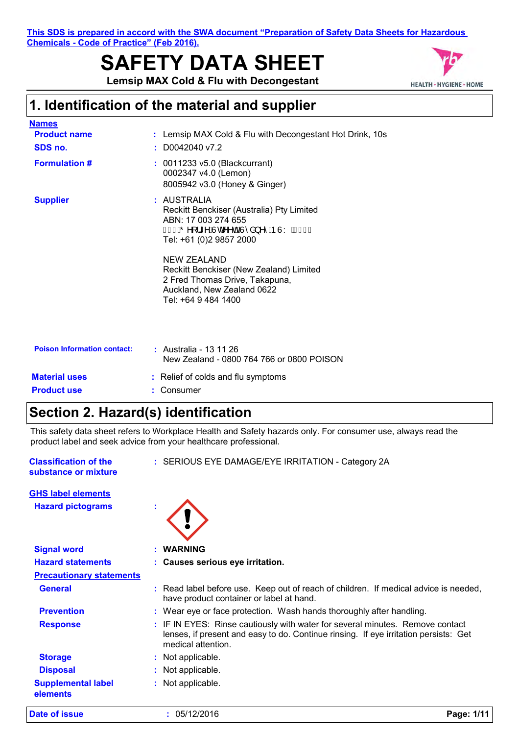**This SDS is prepared in accord with the SWA document "Preparation of Safety Data Sheets for Hazardous Chemicals - Code of Practice" (Feb 2016).**

# **SAFETY DATA SHEET**



**Lemsip MAX Cold & Flu with Decongestant**

# **1. Identification of the material and supplier**

| <b>Names</b>                       |                                                                                                                                                      |
|------------------------------------|------------------------------------------------------------------------------------------------------------------------------------------------------|
| <b>Product name</b>                | : Lemsip MAX Cold & Flu with Decongestant Hot Drink, 10s                                                                                             |
| SDS no.                            | $: $ D0042040 v7.2                                                                                                                                   |
| <b>Formulation #</b>               | $: 0011233 v5.0$ (Blackcurrant)<br>0002347 v4.0 (Lemon)<br>8005942 v3.0 (Honey & Ginger)                                                             |
| <b>Supplier</b>                    | : AUSTRALIA<br>Reckitt Benckiser (Australia) Pty Limited<br>ABN: 17 003 274 655<br>ÎÌ€AÕ^[¦*^AÙd^^dÊÀÙ^å}^^ÁÞÙYAG€€€<br>Tel: +61 (0)2 9857 2000      |
|                                    | <b>NEW ZEALAND</b><br>Reckitt Benckiser (New Zealand) Limited<br>2 Fred Thomas Drive, Takapuna,<br>Auckland, New Zealand 0622<br>Tel: +64 9 484 1400 |
| <b>Poison Information contact:</b> | : Australia - 13 11 26<br>New Zealand - 0800 764 766 or 0800 POISON                                                                                  |

| <b>Material uses</b> | : Relief of colds and flu symptoms |
|----------------------|------------------------------------|
| <b>Product use</b>   | : Consumer                         |

# **Section 2. Hazard(s) identification**

This safety data sheet refers to Workplace Health and Safety hazards only. For consumer use, always read the product label and seek advice from your healthcare professional.

| : SERIOUS EYE DAMAGE/EYE IRRITATION - Category 2A                                                                                                                                           |
|---------------------------------------------------------------------------------------------------------------------------------------------------------------------------------------------|
|                                                                                                                                                                                             |
|                                                                                                                                                                                             |
| : WARNING                                                                                                                                                                                   |
| : Causes serious eye irritation.                                                                                                                                                            |
|                                                                                                                                                                                             |
| : Read label before use. Keep out of reach of children. If medical advice is needed,<br>have product container or label at hand.                                                            |
| : Wear eye or face protection. Wash hands thoroughly after handling.                                                                                                                        |
| : IF IN EYES: Rinse cautiously with water for several minutes. Remove contact<br>lenses, if present and easy to do. Continue rinsing. If eye irritation persists: Get<br>medical attention. |
| : Not applicable.                                                                                                                                                                           |
| : Not applicable.                                                                                                                                                                           |
| : Not applicable.                                                                                                                                                                           |
|                                                                                                                                                                                             |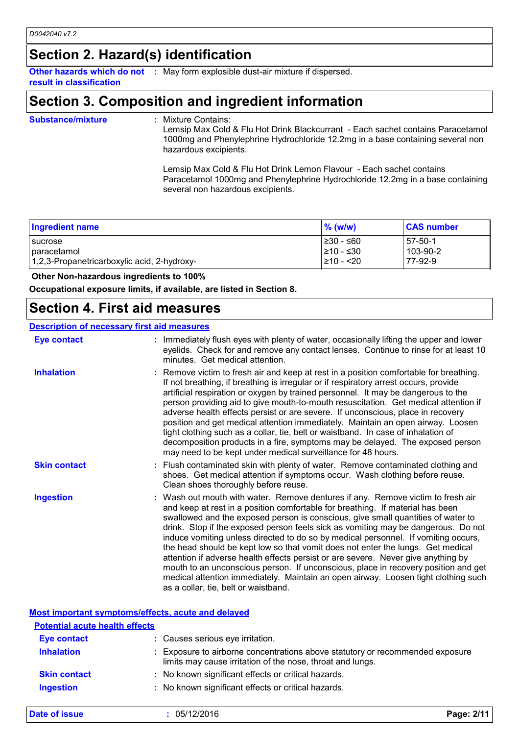# **Section 2. Hazard(s) identification**

**result in classification**

**Other hazards which do not :** May form explosible dust-air mixture if dispersed.

# **Section 3. Composition and ingredient information**

**Substance/mixture :**

: Mixture Contains:

Lemsip Max Cold & Flu Hot Drink Blackcurrant - Each sachet contains Paracetamol 1000mg and Phenylephrine Hydrochloride 12.2mg in a base containing several non hazardous excipients.

Lemsip Max Cold & Flu Hot Drink Lemon Flavour - Each sachet contains Paracetamol 1000mg and Phenylephrine Hydrochloride 12.2mg in a base containing several non hazardous excipients.

| <b>Ingredient name</b>                      | $%$ (w/w)      | <b>CAS number</b> |
|---------------------------------------------|----------------|-------------------|
| <b>I</b> sucrose                            | $\geq 30 - 60$ | $-57-50-1$        |
| paracetamol                                 | 1≥10 - ≤30     | 103-90-2          |
| 1,2,3-Propanetricarboxylic acid, 2-hydroxy- | $\geq 10 - 20$ | 77-92-9           |

#### **Other Non-hazardous ingredients to 100%**

**Occupational exposure limits, if available, are listed in Section 8.**

### **Section 4. First aid measures**

#### **Description of necessary first aid measures**

| <b>Eye contact</b>  | : Immediately flush eyes with plenty of water, occasionally lifting the upper and lower<br>eyelids. Check for and remove any contact lenses. Continue to rinse for at least 10<br>minutes. Get medical attention.                                                                                                                                                                                                                                                                                                                                                                                                                                                                                                                                                                                                            |
|---------------------|------------------------------------------------------------------------------------------------------------------------------------------------------------------------------------------------------------------------------------------------------------------------------------------------------------------------------------------------------------------------------------------------------------------------------------------------------------------------------------------------------------------------------------------------------------------------------------------------------------------------------------------------------------------------------------------------------------------------------------------------------------------------------------------------------------------------------|
| <b>Inhalation</b>   | : Remove victim to fresh air and keep at rest in a position comfortable for breathing.<br>If not breathing, if breathing is irregular or if respiratory arrest occurs, provide<br>artificial respiration or oxygen by trained personnel. It may be dangerous to the<br>person providing aid to give mouth-to-mouth resuscitation. Get medical attention if<br>adverse health effects persist or are severe. If unconscious, place in recovery<br>position and get medical attention immediately. Maintain an open airway. Loosen<br>tight clothing such as a collar, tie, belt or waistband. In case of inhalation of<br>decomposition products in a fire, symptoms may be delayed. The exposed person<br>may need to be kept under medical surveillance for 48 hours.                                                       |
| <b>Skin contact</b> | : Flush contaminated skin with plenty of water. Remove contaminated clothing and<br>shoes. Get medical attention if symptoms occur. Wash clothing before reuse.<br>Clean shoes thoroughly before reuse.                                                                                                                                                                                                                                                                                                                                                                                                                                                                                                                                                                                                                      |
| <b>Ingestion</b>    | : Wash out mouth with water. Remove dentures if any. Remove victim to fresh air<br>and keep at rest in a position comfortable for breathing. If material has been<br>swallowed and the exposed person is conscious, give small quantities of water to<br>drink. Stop if the exposed person feels sick as vomiting may be dangerous. Do not<br>induce vomiting unless directed to do so by medical personnel. If vomiting occurs,<br>the head should be kept low so that vomit does not enter the lungs. Get medical<br>attention if adverse health effects persist or are severe. Never give anything by<br>mouth to an unconscious person. If unconscious, place in recovery position and get<br>medical attention immediately. Maintain an open airway. Loosen tight clothing such<br>as a collar, tie, belt or waistband. |

#### **Most important symptoms/effects, acute and delayed**

| <b>Potential acute health effects</b> |                                                                                                                                             |
|---------------------------------------|---------------------------------------------------------------------------------------------------------------------------------------------|
| <b>Eye contact</b>                    | : Causes serious eye irritation.                                                                                                            |
| <b>Inhalation</b>                     | : Exposure to airborne concentrations above statutory or recommended exposure<br>limits may cause irritation of the nose, throat and lungs. |
| <b>Skin contact</b>                   | : No known significant effects or critical hazards.                                                                                         |
| <b>Ingestion</b>                      | : No known significant effects or critical hazards.                                                                                         |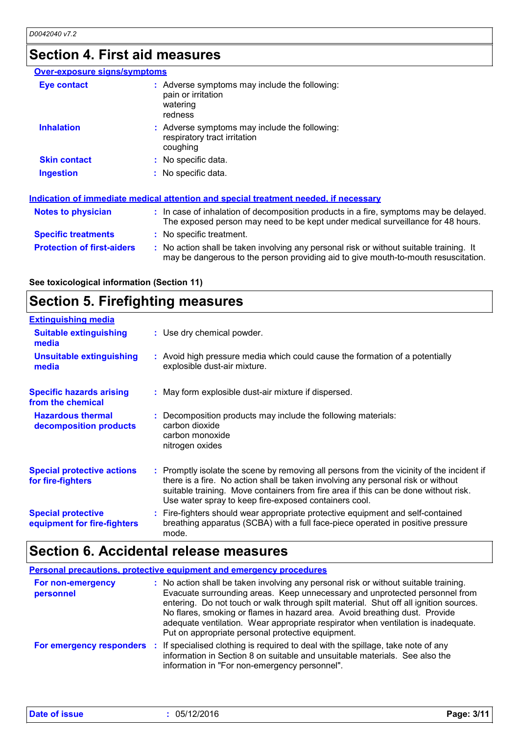# **Section 4. First aid measures**

| <b>Over-exposure signs/symptoms</b> |                                                                                                                                                                               |
|-------------------------------------|-------------------------------------------------------------------------------------------------------------------------------------------------------------------------------|
| Eye contact                         | : Adverse symptoms may include the following:<br>pain or irritation<br>watering<br>redness                                                                                    |
| <b>Inhalation</b>                   | : Adverse symptoms may include the following:<br>respiratory tract irritation<br>coughing                                                                                     |
| <b>Skin contact</b>                 | : No specific data.                                                                                                                                                           |
| <b>Ingestion</b>                    | : No specific data.                                                                                                                                                           |
|                                     | Indication of immediate medical attention and special treatment needed, if necessary                                                                                          |
| <b>Notes to physician</b>           | : In case of inhalation of decomposition products in a fire, symptoms may be delayed.<br>The exposed person may need to be kept under medical surveillance for 48 hours.      |
| <b>Specific treatments</b>          | : No specific treatment.                                                                                                                                                      |
| <b>Protection of first-aiders</b>   | : No action shall be taken involving any personal risk or without suitable training. It<br>may be dangerous to the person providing aid to give mouth-to-mouth resuscitation. |

| See toxicological information (Section 11) |  |  |
|--------------------------------------------|--|--|
|                                            |  |  |

# **Section 5. Firefighting measures**

| <b>Extinguishing media</b>                               |                                                                                                                                                                                                                                                                                                                               |
|----------------------------------------------------------|-------------------------------------------------------------------------------------------------------------------------------------------------------------------------------------------------------------------------------------------------------------------------------------------------------------------------------|
| <b>Suitable extinguishing</b><br>media                   | : Use dry chemical powder.                                                                                                                                                                                                                                                                                                    |
| <b>Unsuitable extinguishing</b><br>media                 | : Avoid high pressure media which could cause the formation of a potentially<br>explosible dust-air mixture.                                                                                                                                                                                                                  |
| <b>Specific hazards arising</b><br>from the chemical     | : May form explosible dust-air mixture if dispersed.                                                                                                                                                                                                                                                                          |
| <b>Hazardous thermal</b><br>decomposition products       | : Decomposition products may include the following materials:<br>carbon dioxide<br>carbon monoxide<br>nitrogen oxides                                                                                                                                                                                                         |
| <b>Special protective actions</b><br>for fire-fighters   | : Promptly isolate the scene by removing all persons from the vicinity of the incident if<br>there is a fire. No action shall be taken involving any personal risk or without<br>suitable training. Move containers from fire area if this can be done without risk.<br>Use water spray to keep fire-exposed containers cool. |
| <b>Special protective</b><br>equipment for fire-fighters | : Fire-fighters should wear appropriate protective equipment and self-contained<br>breathing apparatus (SCBA) with a full face-piece operated in positive pressure<br>mode.                                                                                                                                                   |

# **Section 6. Accidental release measures**

| Personal precautions, protective equipment and emergency procedures |                                                                                                                                                                                                                                                                                                                                                                                                                                                                                      |  |
|---------------------------------------------------------------------|--------------------------------------------------------------------------------------------------------------------------------------------------------------------------------------------------------------------------------------------------------------------------------------------------------------------------------------------------------------------------------------------------------------------------------------------------------------------------------------|--|
| For non-emergency<br>personnel                                      | : No action shall be taken involving any personal risk or without suitable training.<br>Evacuate surrounding areas. Keep unnecessary and unprotected personnel from<br>entering. Do not touch or walk through spilt material. Shut off all ignition sources.<br>No flares, smoking or flames in hazard area. Avoid breathing dust. Provide<br>adequate ventilation. Wear appropriate respirator when ventilation is inadequate.<br>Put on appropriate personal protective equipment. |  |
|                                                                     | For emergency responders : If specialised clothing is required to deal with the spillage, take note of any<br>information in Section 8 on suitable and unsuitable materials. See also the<br>information in "For non-emergency personnel".                                                                                                                                                                                                                                           |  |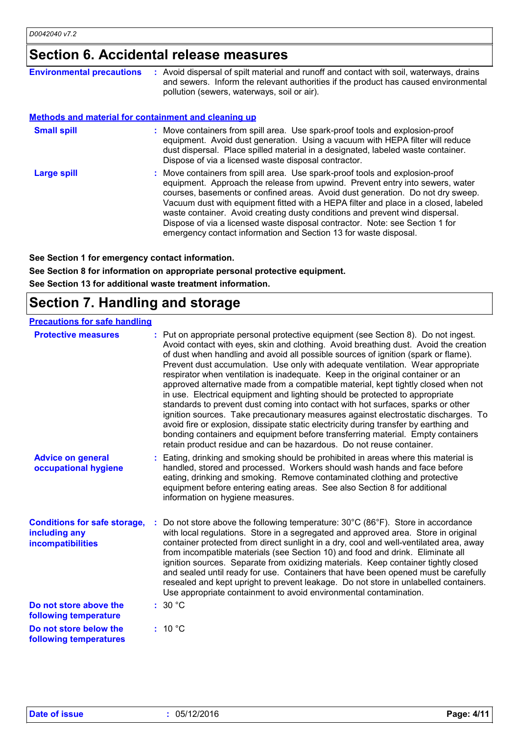# **Section 6. Accidental release measures**

| <b>Environmental precautions</b>                            | : Avoid dispersal of spilt material and runoff and contact with soil, waterways, drains<br>and sewers. Inform the relevant authorities if the product has caused environmental<br>pollution (sewers, waterways, soil or air).                                                                                                                                                                                                                                                                                                                                              |
|-------------------------------------------------------------|----------------------------------------------------------------------------------------------------------------------------------------------------------------------------------------------------------------------------------------------------------------------------------------------------------------------------------------------------------------------------------------------------------------------------------------------------------------------------------------------------------------------------------------------------------------------------|
| <b>Methods and material for containment and cleaning up</b> |                                                                                                                                                                                                                                                                                                                                                                                                                                                                                                                                                                            |
| <b>Small spill</b>                                          | : Move containers from spill area. Use spark-proof tools and explosion-proof<br>equipment. Avoid dust generation. Using a vacuum with HEPA filter will reduce<br>dust dispersal. Place spilled material in a designated, labeled waste container.<br>Dispose of via a licensed waste disposal contractor.                                                                                                                                                                                                                                                                  |
| <b>Large spill</b>                                          | : Move containers from spill area. Use spark-proof tools and explosion-proof<br>equipment. Approach the release from upwind. Prevent entry into sewers, water<br>courses, basements or confined areas. Avoid dust generation. Do not dry sweep.<br>Vacuum dust with equipment fitted with a HEPA filter and place in a closed, labeled<br>waste container. Avoid creating dusty conditions and prevent wind dispersal.<br>Dispose of via a licensed waste disposal contractor. Note: see Section 1 for<br>emergency contact information and Section 13 for waste disposal. |

**See Section 1 for emergency contact information. See Section 8 for information on appropriate personal protective equipment.**

**See Section 13 for additional waste treatment information.**

### **Section 7. Handling and storage**

| <b>Precautions for safe handling</b>                                      |                                                                                                                                                                                                                                                                                                                                                                                                                                                                                                                                                                                                                                                                                                                                                                                                                                                                                                                                                                                                                                            |
|---------------------------------------------------------------------------|--------------------------------------------------------------------------------------------------------------------------------------------------------------------------------------------------------------------------------------------------------------------------------------------------------------------------------------------------------------------------------------------------------------------------------------------------------------------------------------------------------------------------------------------------------------------------------------------------------------------------------------------------------------------------------------------------------------------------------------------------------------------------------------------------------------------------------------------------------------------------------------------------------------------------------------------------------------------------------------------------------------------------------------------|
| <b>Protective measures</b>                                                | : Put on appropriate personal protective equipment (see Section 8). Do not ingest.<br>Avoid contact with eyes, skin and clothing. Avoid breathing dust. Avoid the creation<br>of dust when handling and avoid all possible sources of ignition (spark or flame).<br>Prevent dust accumulation. Use only with adequate ventilation. Wear appropriate<br>respirator when ventilation is inadequate. Keep in the original container or an<br>approved alternative made from a compatible material, kept tightly closed when not<br>in use. Electrical equipment and lighting should be protected to appropriate<br>standards to prevent dust coming into contact with hot surfaces, sparks or other<br>ignition sources. Take precautionary measures against electrostatic discharges. To<br>avoid fire or explosion, dissipate static electricity during transfer by earthing and<br>bonding containers and equipment before transferring material. Empty containers<br>retain product residue and can be hazardous. Do not reuse container. |
| <b>Advice on general</b><br>occupational hygiene                          | Eating, drinking and smoking should be prohibited in areas where this material is<br>handled, stored and processed. Workers should wash hands and face before<br>eating, drinking and smoking. Remove contaminated clothing and protective<br>equipment before entering eating areas. See also Section 8 for additional<br>information on hygiene measures.                                                                                                                                                                                                                                                                                                                                                                                                                                                                                                                                                                                                                                                                                |
| <b>Conditions for safe storage,</b><br>including any<br>incompatibilities | Do not store above the following temperature: 30°C (86°F). Store in accordance<br>with local regulations. Store in a segregated and approved area. Store in original<br>container protected from direct sunlight in a dry, cool and well-ventilated area, away<br>from incompatible materials (see Section 10) and food and drink. Eliminate all<br>ignition sources. Separate from oxidizing materials. Keep container tightly closed<br>and sealed until ready for use. Containers that have been opened must be carefully<br>resealed and kept upright to prevent leakage. Do not store in unlabelled containers.<br>Use appropriate containment to avoid environmental contamination.                                                                                                                                                                                                                                                                                                                                                  |
| Do not store above the<br>following temperature                           | :30 °C                                                                                                                                                                                                                                                                                                                                                                                                                                                                                                                                                                                                                                                                                                                                                                                                                                                                                                                                                                                                                                     |
| Do not store below the<br>following temperatures                          | : 10 °C                                                                                                                                                                                                                                                                                                                                                                                                                                                                                                                                                                                                                                                                                                                                                                                                                                                                                                                                                                                                                                    |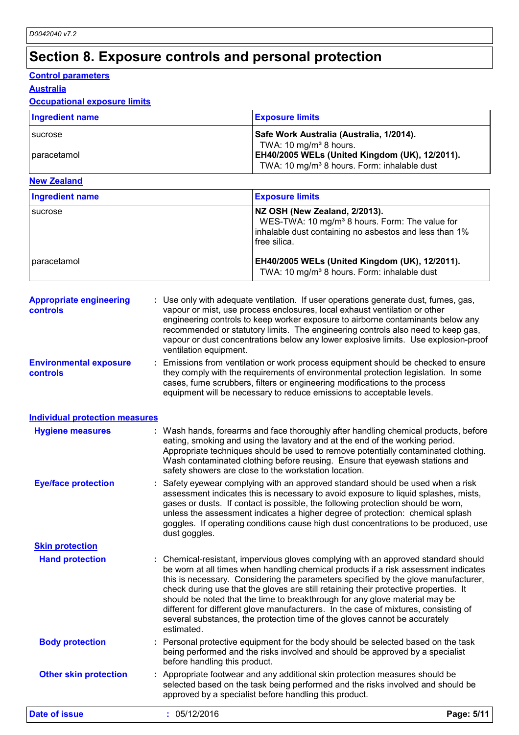# **Section 8. Exposure controls and personal protection**

### **Control parameters**

**Australia**

### **Occupational exposure limits**

| <b>Ingredient name</b> | <b>Exposure limits</b>                                  |
|------------------------|---------------------------------------------------------|
| <b>Sucrose</b>         | Safe Work Australia (Australia, 1/2014).                |
|                        | TWA: 10 mg/m <sup>3</sup> 8 hours.                      |
| I paracetamol          | EH40/2005 WELs (United Kingdom (UK), 12/2011).          |
|                        | TWA: 10 mg/m <sup>3</sup> 8 hours. Form: inhalable dust |

### **New Zealand**

| Ingredient name | <b>Exposure limits</b>                                                                                                                                                |
|-----------------|-----------------------------------------------------------------------------------------------------------------------------------------------------------------------|
| sucrose         | NZ OSH (New Zealand, 2/2013).<br>WES-TWA: 10 mg/m <sup>3</sup> 8 hours. Form: The value for<br>inhalable dust containing no asbestos and less than 1%<br>free silica. |
| paracetamol     | EH40/2005 WELs (United Kingdom (UK), 12/2011).<br>TWA: 10 mg/m <sup>3</sup> 8 hours. Form: inhalable dust                                                             |

| <b>Appropriate engineering</b><br><b>controls</b> | : Use only with adequate ventilation. If user operations generate dust, fumes, gas,<br>vapour or mist, use process enclosures, local exhaust ventilation or other<br>engineering controls to keep worker exposure to airborne contaminants below any<br>recommended or statutory limits. The engineering controls also need to keep gas,<br>vapour or dust concentrations below any lower explosive limits. Use explosion-proof<br>ventilation equipment.                                                                                                                                                                 |
|---------------------------------------------------|---------------------------------------------------------------------------------------------------------------------------------------------------------------------------------------------------------------------------------------------------------------------------------------------------------------------------------------------------------------------------------------------------------------------------------------------------------------------------------------------------------------------------------------------------------------------------------------------------------------------------|
| <b>Environmental exposure</b><br><b>controls</b>  | Emissions from ventilation or work process equipment should be checked to ensure<br>they comply with the requirements of environmental protection legislation. In some<br>cases, fume scrubbers, filters or engineering modifications to the process<br>equipment will be necessary to reduce emissions to acceptable levels.                                                                                                                                                                                                                                                                                             |
| <b>Individual protection measures</b>             |                                                                                                                                                                                                                                                                                                                                                                                                                                                                                                                                                                                                                           |
| <b>Hygiene measures</b>                           | : Wash hands, forearms and face thoroughly after handling chemical products, before<br>eating, smoking and using the lavatory and at the end of the working period.<br>Appropriate techniques should be used to remove potentially contaminated clothing.<br>Wash contaminated clothing before reusing. Ensure that eyewash stations and<br>safety showers are close to the workstation location.                                                                                                                                                                                                                         |
| <b>Eye/face protection</b>                        | : Safety eyewear complying with an approved standard should be used when a risk<br>assessment indicates this is necessary to avoid exposure to liquid splashes, mists,<br>gases or dusts. If contact is possible, the following protection should be worn,<br>unless the assessment indicates a higher degree of protection: chemical splash<br>goggles. If operating conditions cause high dust concentrations to be produced, use<br>dust goggles.                                                                                                                                                                      |
| <b>Skin protection</b>                            |                                                                                                                                                                                                                                                                                                                                                                                                                                                                                                                                                                                                                           |
| <b>Hand protection</b>                            | : Chemical-resistant, impervious gloves complying with an approved standard should<br>be worn at all times when handling chemical products if a risk assessment indicates<br>this is necessary. Considering the parameters specified by the glove manufacturer,<br>check during use that the gloves are still retaining their protective properties. It<br>should be noted that the time to breakthrough for any glove material may be<br>different for different glove manufacturers. In the case of mixtures, consisting of<br>several substances, the protection time of the gloves cannot be accurately<br>estimated. |
| <b>Body protection</b>                            | : Personal protective equipment for the body should be selected based on the task<br>being performed and the risks involved and should be approved by a specialist<br>before handling this product.                                                                                                                                                                                                                                                                                                                                                                                                                       |
| <b>Other skin protection</b>                      | : Appropriate footwear and any additional skin protection measures should be<br>selected based on the task being performed and the risks involved and should be<br>approved by a specialist before handling this product.                                                                                                                                                                                                                                                                                                                                                                                                 |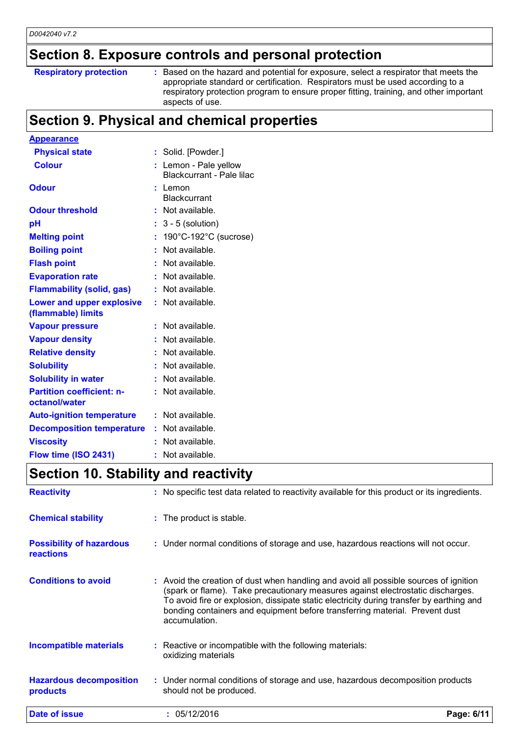# **Section 8. Exposure controls and personal protection**

### **Respiratory protection :**

Based on the hazard and potential for exposure, select a respirator that meets the appropriate standard or certification. Respirators must be used according to a respiratory protection program to ensure proper fitting, training, and other important aspects of use.

# **Section 9. Physical and chemical properties**

| <b>Appearance</b>                                 |    |                                                  |
|---------------------------------------------------|----|--------------------------------------------------|
| <b>Physical state</b>                             |    | : Solid. [Powder.]                               |
| <b>Colour</b>                                     |    | Lemon - Pale yellow<br>Blackcurrant - Pale lilac |
| <b>Odour</b>                                      |    | : Lemon<br><b>Blackcurrant</b>                   |
| <b>Odour threshold</b>                            |    | : Not available.                                 |
| рH                                                |    | $3 - 5$ (solution)                               |
| <b>Melting point</b>                              | t. | 190°C-192°C (sucrose)                            |
| <b>Boiling point</b>                              |    | Not available.                                   |
| <b>Flash point</b>                                |    | Not available.                                   |
| <b>Evaporation rate</b>                           |    | Not available.                                   |
| <b>Flammability (solid, gas)</b>                  |    | Not available.                                   |
| Lower and upper explosive<br>(flammable) limits   |    | Not available.                                   |
| <b>Vapour pressure</b>                            |    | Not available.                                   |
| <b>Vapour density</b>                             |    | Not available.                                   |
| <b>Relative density</b>                           |    | Not available.                                   |
| <b>Solubility</b>                                 |    | Not available.                                   |
| <b>Solubility in water</b>                        |    | Not available.                                   |
| <b>Partition coefficient: n-</b><br>octanol/water |    | Not available.                                   |
| <b>Auto-ignition temperature</b>                  |    | : Not available.                                 |
| <b>Decomposition temperature</b>                  |    | : Not available.                                 |
| <b>Viscosity</b>                                  |    | Not available.                                   |
| Flow time (ISO 2431)                              |    | Not available.                                   |

### **Section 10. Stability and reactivity**

| Date of issue                                | : 05/12/2016                                                                                                                                                                                                                                                                                                                                                         | Page: 6/11 |
|----------------------------------------------|----------------------------------------------------------------------------------------------------------------------------------------------------------------------------------------------------------------------------------------------------------------------------------------------------------------------------------------------------------------------|------------|
| <b>Hazardous decomposition</b><br>products   | : Under normal conditions of storage and use, hazardous decomposition products<br>should not be produced.                                                                                                                                                                                                                                                            |            |
| <b>Incompatible materials</b>                | $\therefore$ Reactive or incompatible with the following materials:<br>oxidizing materials                                                                                                                                                                                                                                                                           |            |
| <b>Conditions to avoid</b>                   | : Avoid the creation of dust when handling and avoid all possible sources of ignition<br>(spark or flame). Take precautionary measures against electrostatic discharges.<br>To avoid fire or explosion, dissipate static electricity during transfer by earthing and<br>bonding containers and equipment before transferring material. Prevent dust<br>accumulation. |            |
| <b>Possibility of hazardous</b><br>reactions | : Under normal conditions of storage and use, hazardous reactions will not occur.                                                                                                                                                                                                                                                                                    |            |
| <b>Chemical stability</b>                    | : The product is stable.                                                                                                                                                                                                                                                                                                                                             |            |
| <b>Reactivity</b>                            | : No specific test data related to reactivity available for this product or its ingredients.                                                                                                                                                                                                                                                                         |            |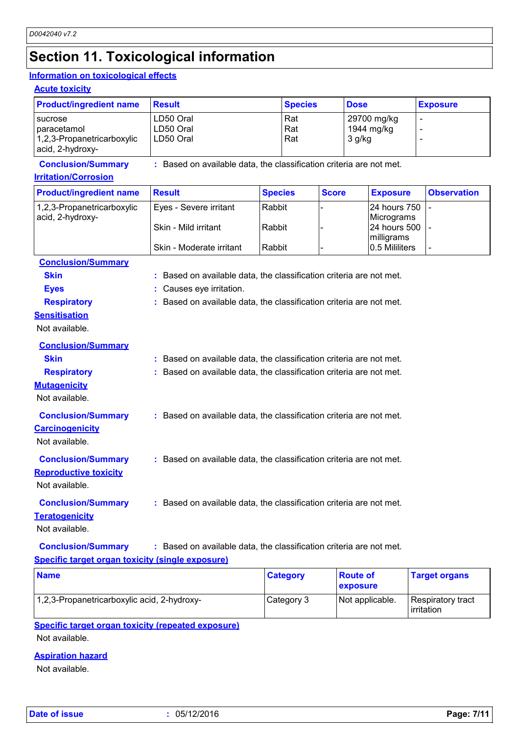# **Section 11. Toxicological information**

### **Information on toxicological effects**

**Acute toxicity**

| <b>Product/ingredient name</b>                                                | <b>Result</b>                                                                                                                                                          | <b>Species</b>    |              | <b>Dose</b>                         | <b>Exposure</b>          |
|-------------------------------------------------------------------------------|------------------------------------------------------------------------------------------------------------------------------------------------------------------------|-------------------|--------------|-------------------------------------|--------------------------|
| sucrose<br>paracetamol<br>1,2,3-Propanetricarboxylic<br>acid, 2-hydroxy-      | LD50 Oral<br>LD50 Oral<br>LD50 Oral                                                                                                                                    | Rat<br>Rat<br>Rat |              | 29700 mg/kg<br>1944 mg/kg<br>3 g/kg |                          |
| <b>Conclusion/Summary</b>                                                     | : Based on available data, the classification criteria are not met.                                                                                                    |                   |              |                                     |                          |
| <b>Irritation/Corrosion</b>                                                   |                                                                                                                                                                        |                   |              |                                     |                          |
| <b>Product/ingredient name</b>                                                | <b>Result</b>                                                                                                                                                          | <b>Species</b>    | <b>Score</b> | <b>Exposure</b>                     | <b>Observation</b>       |
| 1,2,3-Propanetricarboxylic<br>acid, 2-hydroxy-                                | Eyes - Severe irritant                                                                                                                                                 | Rabbit            |              | 24 hours 750<br>Micrograms          | $\overline{\phantom{a}}$ |
|                                                                               | Skin - Mild irritant                                                                                                                                                   | Rabbit            |              | 24 hours 500<br>milligrams          |                          |
|                                                                               | Skin - Moderate irritant                                                                                                                                               | Rabbit            |              | 0.5 Mililiters                      |                          |
| <b>Conclusion/Summary</b><br><b>Skin</b><br><b>Eyes</b><br><b>Respiratory</b> | : Based on available data, the classification criteria are not met.<br>: Causes eye irritation.<br>: Based on available data, the classification criteria are not met. |                   |              |                                     |                          |
| <b>Sensitisation</b><br>Not available.                                        |                                                                                                                                                                        |                   |              |                                     |                          |
| <b>Conclusion/Summary</b>                                                     |                                                                                                                                                                        |                   |              |                                     |                          |
| <b>Skin</b>                                                                   | : Based on available data, the classification criteria are not met.                                                                                                    |                   |              |                                     |                          |
| <b>Respiratory</b><br><b>Mutagenicity</b><br>Not available.                   | : Based on available data, the classification criteria are not met.                                                                                                    |                   |              |                                     |                          |
| <b>Conclusion/Summary</b><br><b>Carcinogenicity</b><br>Not available.         | : Based on available data, the classification criteria are not met.                                                                                                    |                   |              |                                     |                          |
| <b>Conclusion/Summary</b><br><b>Reproductive toxicity</b><br>Not available.   | : Based on available data, the classification criteria are not met.                                                                                                    |                   |              |                                     |                          |
| <b>Conclusion/Summary</b><br><b>Teratogenicity</b><br>Not available.          | : Based on available data, the classification criteria are not met.                                                                                                    |                   |              |                                     |                          |
| <b>Conclusion/Summary</b>                                                     | : Based on available data, the classification criteria are not met.                                                                                                    |                   |              |                                     |                          |

### **Specific target organ toxicity (single exposure)**

| <b>Name</b>                                 | <b>Category</b> | <b>Route of</b><br><b>exposure</b> | <b>Target organs</b>            |
|---------------------------------------------|-----------------|------------------------------------|---------------------------------|
| 1,2,3-Propanetricarboxylic acid, 2-hydroxy- | Category 3      | Not applicable.                    | Respiratory tract<br>irritation |

### **Specific target organ toxicity (repeated exposure)**

Not available.

### **Aspiration hazard**

Not available.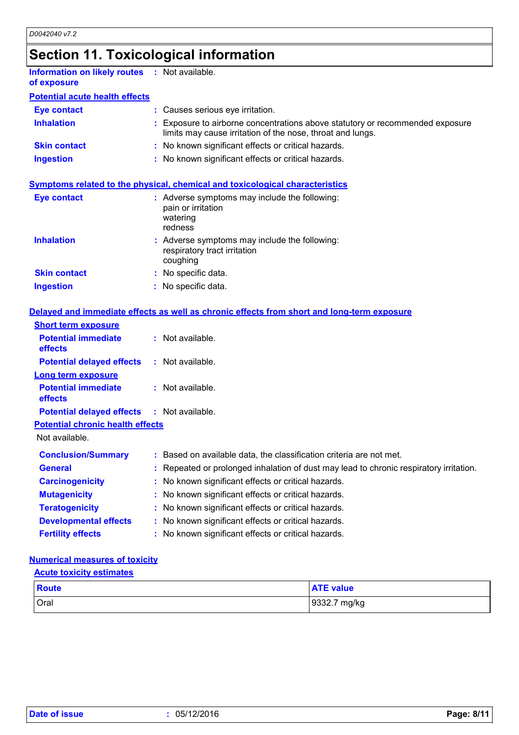# **Section 11. Toxicological information**

| <b>Information on likely routes</b><br>of exposure        | : Not available.                                                                                                                          |
|-----------------------------------------------------------|-------------------------------------------------------------------------------------------------------------------------------------------|
| <b>Potential acute health effects</b>                     |                                                                                                                                           |
| <b>Eye contact</b>                                        | : Causes serious eye irritation.                                                                                                          |
| <b>Inhalation</b>                                         | Exposure to airborne concentrations above statutory or recommended exposure<br>limits may cause irritation of the nose, throat and lungs. |
| <b>Skin contact</b>                                       | : No known significant effects or critical hazards.                                                                                       |
| <b>Ingestion</b>                                          | : No known significant effects or critical hazards.                                                                                       |
|                                                           | <b>Symptoms related to the physical, chemical and toxicological characteristics</b>                                                       |
| <b>Eye contact</b>                                        | : Adverse symptoms may include the following:<br>pain or irritation<br>watering<br>redness                                                |
| <b>Inhalation</b>                                         | : Adverse symptoms may include the following:<br>respiratory tract irritation<br>coughing                                                 |
| <b>Skin contact</b>                                       | : No specific data.                                                                                                                       |
| <b>Ingestion</b>                                          | : No specific data.                                                                                                                       |
|                                                           | Delayed and immediate effects as well as chronic effects from short and long-term exposure                                                |
| <b>Short term exposure</b>                                |                                                                                                                                           |
| <b>Potential immediate</b><br>effects                     | : Not available.                                                                                                                          |
| <b>Potential delayed effects</b>                          | : Not available.                                                                                                                          |
| <b>Long term exposure</b>                                 |                                                                                                                                           |
| <b>Potential immediate</b><br>effects                     | : Not available.                                                                                                                          |
| <b>Potential delayed effects</b>                          | : Not available.                                                                                                                          |
| <b>Potential chronic health effects</b><br>Not available. |                                                                                                                                           |
|                                                           |                                                                                                                                           |

| <b>Conclusion/Summary</b>    | : Based on available data, the classification criteria are not met.                    |
|------------------------------|----------------------------------------------------------------------------------------|
| <b>General</b>               | : Repeated or prolonged inhalation of dust may lead to chronic respiratory irritation. |
| <b>Carcinogenicity</b>       | : No known significant effects or critical hazards.                                    |
| <b>Mutagenicity</b>          | : No known significant effects or critical hazards.                                    |
| <b>Teratogenicity</b>        | : No known significant effects or critical hazards.                                    |
| <b>Developmental effects</b> | : No known significant effects or critical hazards.                                    |
| <b>Fertility effects</b>     | : No known significant effects or critical hazards.                                    |

### **Numerical measures of toxicity**

### **Acute toxicity estimates**

| <b>Route</b> | <b>ATE value</b>  |
|--------------|-------------------|
| <b>Oral</b>  | 9332.7<br>' mg/kg |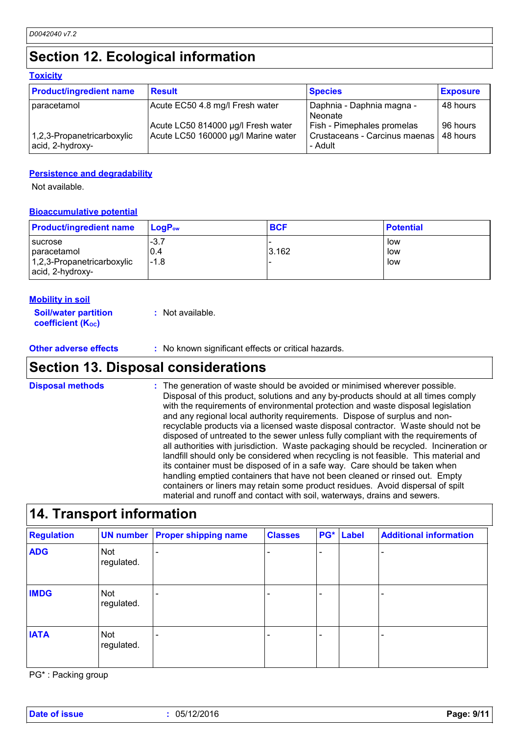# **Section 12. Ecological information**

#### **Toxicity**

| <b>Product/ingredient name</b>                 | <b>Result</b>                                                             | <b>Species</b>                                                           | <b>Exposure</b>      |
|------------------------------------------------|---------------------------------------------------------------------------|--------------------------------------------------------------------------|----------------------|
| paracetamol                                    | Acute EC50 4.8 mg/l Fresh water                                           | Daphnia - Daphnia magna -<br>Neonate                                     | 48 hours             |
| 1,2,3-Propanetricarboxylic<br>acid, 2-hydroxy- | Acute LC50 814000 µg/l Fresh water<br>Acute LC50 160000 µg/l Marine water | Fish - Pimephales promelas<br>Crustaceans - Carcinus maenas  <br>- Adult | 96 hours<br>48 hours |

### **Persistence and degradability**

Not available.

#### **Bioaccumulative potential**

| <b>Product/ingredient name</b>                 | $\mathsf{LocP}_\mathsf{ow}$ | <b>BCF</b> | <b>Potential</b> |
|------------------------------------------------|-----------------------------|------------|------------------|
| sucrose<br>I paracetamol                       | $-3.7$<br>0.4               | 3.162      | low<br>low       |
| 1,2,3-Propanetricarboxylic<br>acid, 2-hydroxy- | $-1.8$                      |            | low              |

#### **Mobility in soil**

| <b>Soil/water partition</b> |  | : Not available. |
|-----------------------------|--|------------------|
| <b>coefficient (Koc)</b>    |  |                  |

**Other adverse effects** : No known significant effects or critical hazards.

### **Section 13. Disposal considerations**

The generation of waste should be avoided or minimised wherever possible. Disposal of this product, solutions and any by-products should at all times comply with the requirements of environmental protection and waste disposal legislation and any regional local authority requirements. Dispose of surplus and nonrecyclable products via a licensed waste disposal contractor. Waste should not be disposed of untreated to the sewer unless fully compliant with the requirements of all authorities with jurisdiction. Waste packaging should be recycled. Incineration or landfill should only be considered when recycling is not feasible. This material and its container must be disposed of in a safe way. Care should be taken when handling emptied containers that have not been cleaned or rinsed out. Empty containers or liners may retain some product residues. Avoid dispersal of spilt material and runoff and contact with soil, waterways, drains and sewers. **Disposal methods :**

# **14. Transport information**

| <b>Regulation</b> |                          | <b>UN number Proper shipping name</b> | <b>Classes</b> | PG* | Label | <b>Additional information</b> |
|-------------------|--------------------------|---------------------------------------|----------------|-----|-------|-------------------------------|
| <b>ADG</b>        | <b>Not</b><br>regulated. |                                       |                | ۰   |       |                               |
| <b>IMDG</b>       | <b>Not</b><br>regulated. |                                       |                | -   |       |                               |
| <b>IATA</b>       | <b>Not</b><br>regulated. |                                       |                |     |       |                               |

PG\* : Packing group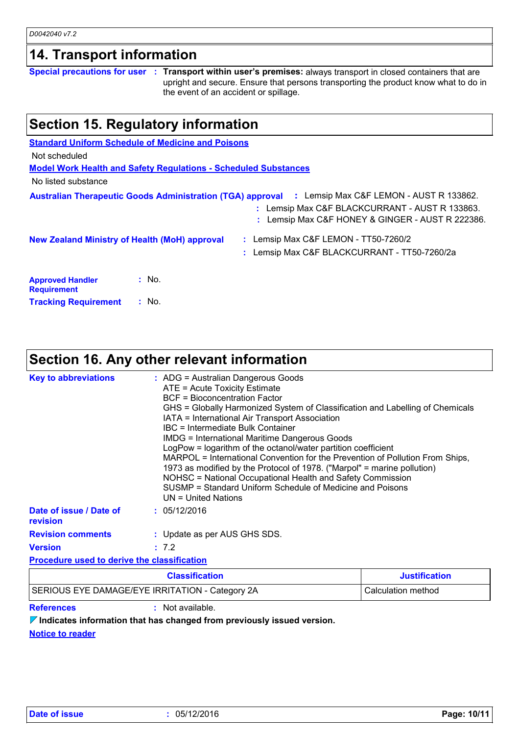|                                                      | Section 15. Regulatory information                                     |                                                                                                                                                                                                          |
|------------------------------------------------------|------------------------------------------------------------------------|----------------------------------------------------------------------------------------------------------------------------------------------------------------------------------------------------------|
|                                                      | <b>Standard Uniform Schedule of Medicine and Poisons</b>               |                                                                                                                                                                                                          |
| Not scheduled                                        |                                                                        |                                                                                                                                                                                                          |
|                                                      | <b>Model Work Health and Safety Requiations - Scheduled Substances</b> |                                                                                                                                                                                                          |
| No listed substance                                  |                                                                        |                                                                                                                                                                                                          |
|                                                      |                                                                        | Australian Therapeutic Goods Administration (TGA) approval : Lemsip Max C&F LEMON - AUST R 133862.<br>: Lemsip Max C&F BLACKCURRANT - AUST R 133863.<br>: Lemsip Max C&F HONEY & GINGER - AUST R 222386. |
| <b>New Zealand Ministry of Health (MoH) approval</b> |                                                                        | : Lemsip Max C&F LEMON - TT50-7260/2                                                                                                                                                                     |
|                                                      |                                                                        | : Lemsip Max C&F BLACKCURRANT - TT50-7260/2a                                                                                                                                                             |
| <b>Approved Handler</b><br><b>Requirement</b>        | $:$ No.                                                                |                                                                                                                                                                                                          |
| <b>Tracking Requirement</b>                          | : No.                                                                  |                                                                                                                                                                                                          |

# **Section 16. Any other relevant information**

| <b>Key to abbreviations</b>                        | : ADG = Australian Dangerous Goods<br>ATE = Acute Toxicity Estimate<br>BCF = Bioconcentration Factor<br>IATA = International Air Transport Association<br>IBC = Intermediate Bulk Container<br>UN = United Nations | GHS = Globally Harmonized System of Classification and Labelling of Chemicals<br><b>IMDG = International Maritime Dangerous Goods</b><br>LogPow = logarithm of the octanol/water partition coefficient<br>MARPOL = International Convention for the Prevention of Pollution From Ships,<br>1973 as modified by the Protocol of 1978. ("Marpol" = marine pollution)<br>NOHSC = National Occupational Health and Safety Commission<br>SUSMP = Standard Uniform Schedule of Medicine and Poisons |  |
|----------------------------------------------------|--------------------------------------------------------------------------------------------------------------------------------------------------------------------------------------------------------------------|-----------------------------------------------------------------------------------------------------------------------------------------------------------------------------------------------------------------------------------------------------------------------------------------------------------------------------------------------------------------------------------------------------------------------------------------------------------------------------------------------|--|
| Date of issue / Date of<br><b>revision</b>         | : 05/12/2016                                                                                                                                                                                                       |                                                                                                                                                                                                                                                                                                                                                                                                                                                                                               |  |
| <b>Revision comments</b>                           | : Update as per AUS GHS SDS.                                                                                                                                                                                       |                                                                                                                                                                                                                                                                                                                                                                                                                                                                                               |  |
| <b>Version</b>                                     | : 7.2                                                                                                                                                                                                              |                                                                                                                                                                                                                                                                                                                                                                                                                                                                                               |  |
| <b>Procedure used to derive the classification</b> |                                                                                                                                                                                                                    |                                                                                                                                                                                                                                                                                                                                                                                                                                                                                               |  |
|                                                    | <b>Classification</b>                                                                                                                                                                                              | <b>Justification</b>                                                                                                                                                                                                                                                                                                                                                                                                                                                                          |  |

| Classification                                  | Justification      |
|-------------------------------------------------|--------------------|
| SERIOUS EYE DAMAGE/EYE IRRITATION - Category 2A | Calculation method |

*D0042040 v7.2*

**References :** Not available.

**Indicates information that has changed from previously issued version.**

**Notice to reader**